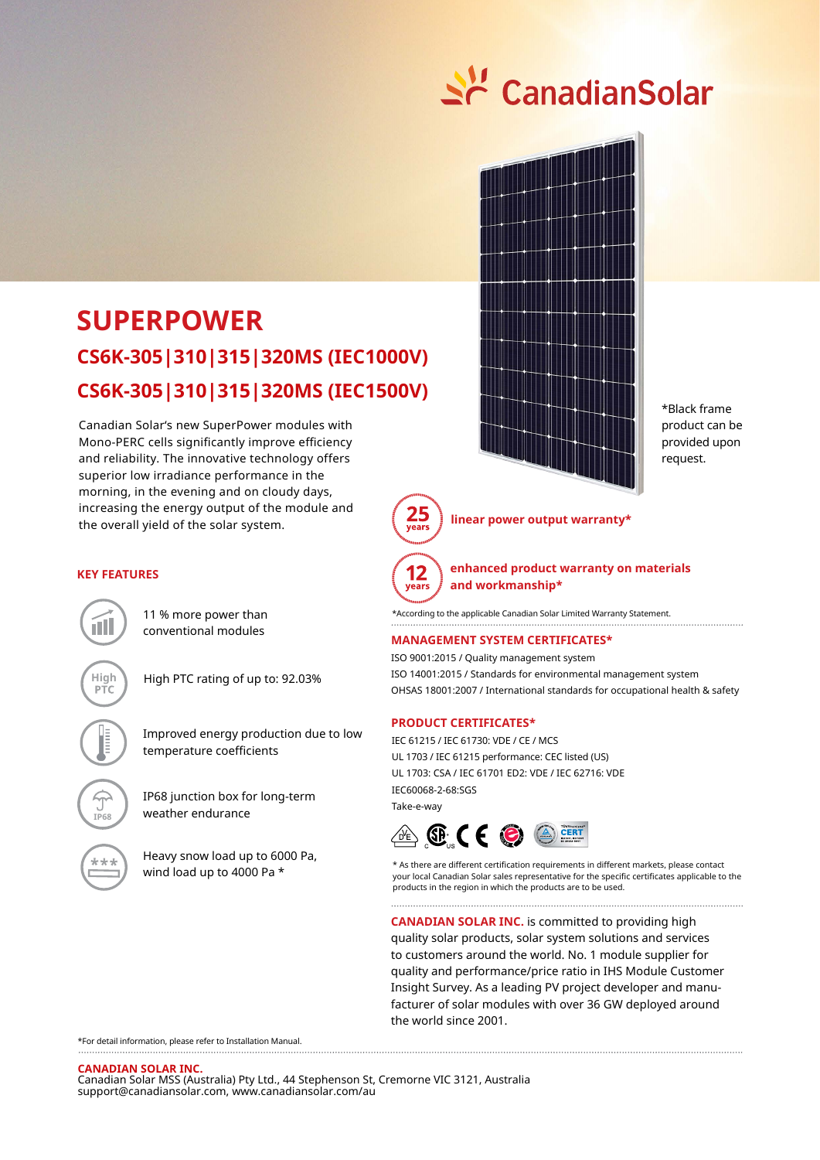

# **SUPERPOWER CS6K-305|310|315|320MS (IEC1500V) CS6K-305|310|315|320MS (IEC1000V)**

Canadian Solar's new SuperPower modules with Mono-PERC cells significantly improve efficiency and reliability. The innovative technology offers superior low irradiance performance in the morning, in the evening and on cloudy days, increasing the energy output of the module and the overall yield of the solar system.



\*Black frame product can be provided upon request.



**linear power output warranty\***



**enhanced product warranty on materials and workmanship\***

\*According to the applicable Canadian Solar Limited Warranty Statement.

#### **MANAGEMENT SYSTEM CERTIFICATES\***

ISO 9001:2015 / Quality management system ISO 14001:2015 / Standards for environmental management system OHSAS 18001:2007 / International standards for occupational health & safety

#### **PRODUCT CERTIFICATES\***

IEC 61215 / IEC 61730: VDE / CE / MCS UL 1703 / IEC 61215 performance: CEC listed (US) UL 1703: CSA / IEC 61701 ED2: VDE / IEC 62716: VDE IEC60068-2-68:SGS Take-e-way



\* As there are different certification requirements in different markets, please contact your local Canadian Solar sales representative for the specific certificates applicable to the products in the region in which the products are to be used.

**CANADIAN SOLAR INC.** is committed to providing high quality solar products, solar system solutions and services to customers around the world. No. 1 module supplier for quality and performance/price ratio in IHS Module Customer Insight Survey. As a leading PV project developer and manufacturer of solar modules with over 36 GW deployed around the world since 2001.

\*For detail information, please refer to Installation Manual.

**CANADIAN SOLAR INC.**  Canadian Solar MSS (Australia) Pty Ltd., 44 Stephenson St, Cremorne VIC 3121, Australia support@canadiansolar.com, www.canadiansolar.com/au

### **KEY FEATURES**

11 % more power than conventional modules

nT I

**IP68**

\*\*\*

**High** High PTC rating of up to: 92.03%

Improved energy production due to low temperature coefficients

IP68 junction box for long-term weather endurance

Heavy snow load up to 6000 Pa, wind load up to 4000 Pa \*